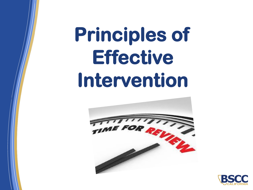# **Principles of Effective Intervention**



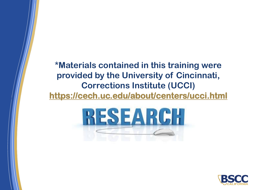#### **\*Materials contained in this training were provided by the University of Cincinnati, Corrections Institute (UCCI) <https://cech.uc.edu/about/centers/ucci.html>**



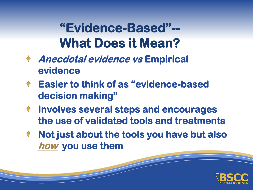**"Evidence-Based"-- What Does it Mean?**

- **Anecdotal evidence vs Empirical evidence**
- **Easier to think of as "evidence-based decision making"**
- **Involves several steps and encourages**   $\blacklozenge$ **the use of validated tools and treatments**
- **Not just about the tools you have but also how you use them**

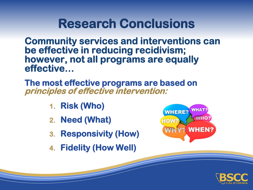#### **Research Conclusions**

**Community services and interventions can be effective in reducing recidivism; however, not all programs are equally effective…**

**The most effective programs are based on principles of effective intervention:**

- **1. Risk (Who)**
- **2. Need (What)**
- **3. Responsivity (How)**
- **4. Fidelity (How Well)**



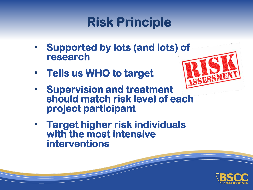### **Risk Principle**

- **Supported by lots (and lots) of research**
- **Tells us WHO to target**



- **Supervision and treatment should match risk level of each project participant**
- **Target higher risk individuals with the most intensive interventions**

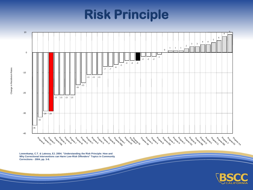### **Risk Principle**



**Lowenkamp, C.T. & Latessa, EJ. 2004. "Understanding the Risk Principle: How and Why Correctional Interventions can Harm Low-Risk Offenders" Topics in Community Corrections - 2004, pp. 3-8.**

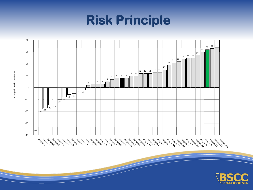# **Risk Principle**





Change in Recidivism Rates Change in Recidivism Rates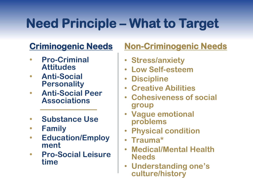# **Need Principle – What to Target**

#### **Criminogenic Needs**

- **Pro-Criminal Attitudes**
- **Anti-Social Personality**
- **Anti-Social Peer Associations**
- **Substance Use**
- **Family**
- **Education/Employ ment**
- **Pro-Social Leisure time**

#### **Non-Criminogenic Needs**

- **Stress/anxiety**
- **Low Self-esteem**
- **Discipline**
- **Creative Abilities**
- **Cohesiveness of social group**
- **Vague emotional problems**
- **Physical condition**
- **Trauma\***
- **Medical/Mental Health Needs**
- **Understanding one's culture/history**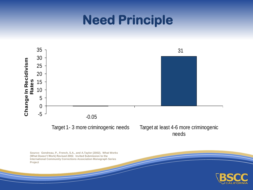#### **Need Principle**



needs

**Source: Gendreau, P., French, S.A., and A.Taylor (2002). What Works (What Doesn't Work) Revised 2002. Invited Submission to the International Community Corrections Association Monograph Series Project**

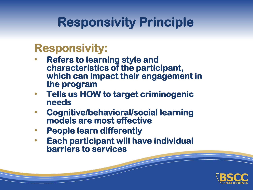### **Responsivity Principle**

#### **Responsivity:**

- **Refers to learning style and characteristics of the participant, which can impact their engagement in the program**
- **Tells us HOW to target criminogenic needs**
- **Cognitive/behavioral/social learning models are most effective**
- **People learn differently**
- **Each participant will have individual barriers to services**

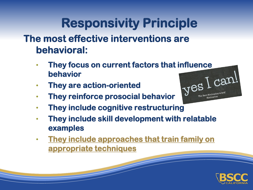### **Responsivity Principle**

**The most effective interventions are behavioral:**

- **They focus on current factors that influence behavior**
- **They are action-oriented**
- **They reinforce prosocial behavior**



- **They include cognitive restructuring**
- **They include skill development with relatable examples**
- **They include approaches that train family on appropriate techniques**

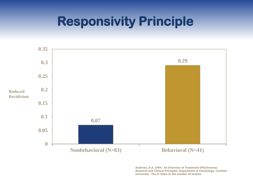#### **Responsivity Principle**



**Andrews, D.A. 1994. An Overview of Treatment Effectiveness. Research and Clinical Principles, Department of Psychology, Carleton University. The N refers to the number of studies.**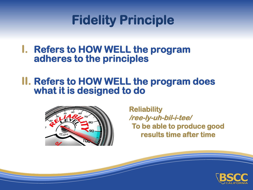### **Fidelity Principle**

#### **I. Refers to HOW WELL the program adheres to the principles**

#### **II. Refers to HOW WELL the program does what it is designed to do**



**Reliability /ree-ly-uh-bil-i-tee/ To be able to produce good results time after time**

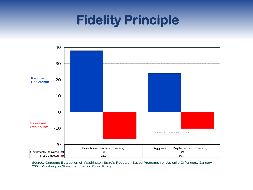### **Fidelity Principle**



Source: Outcome Evaluation of Washington State's Research-Based Programs for Juvenile Offenders. January 2004. Washington State Institute f or Public Policy.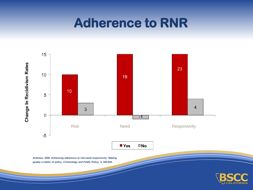#### **Adherence to RNR**

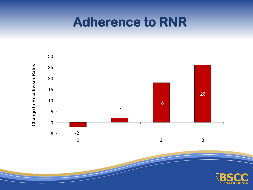#### **Adherence to RNR**



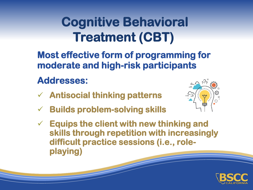## **Cognitive Behavioral Treatment (CBT)**

**Most effective form of programming for moderate and high-risk participants**

#### **Addresses:**

- ✓ **Antisocial thinking patterns**
- ✓ **Builds problem-solving skills**
- ✓ **Equips the client with new thinking and skills through repetition with increasingly difficult practice sessions (i.e., roleplaying)**



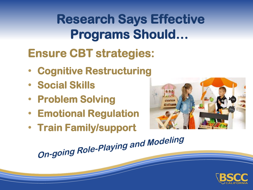**Research Says Effective Programs Should…**

#### **Ensure CBT strategies:**

- **Cognitive Restructuring**
- **Social Skills**
- **Problem Solving**
- **Emotional Regulation**
- 



• **Train Family/support** 

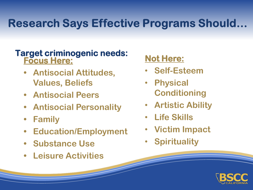#### **Research Says Effective Programs Should...**

#### **Target criminogenic needs: Focus Here:**

- **• Antisocial Attitudes, Values, Beliefs**
- **• Antisocial Peers**
- **• Antisocial Personality**
- **• Family**
- **• Education/Employment**
- **• Substance Use**
- **• Leisure Activities**

#### **Not Here:**

- **Self-Esteem**
- **Physical Conditioning**
- **Artistic Ability**
- **Life Skills**
- **Victim Impact**
- **Spirituality**